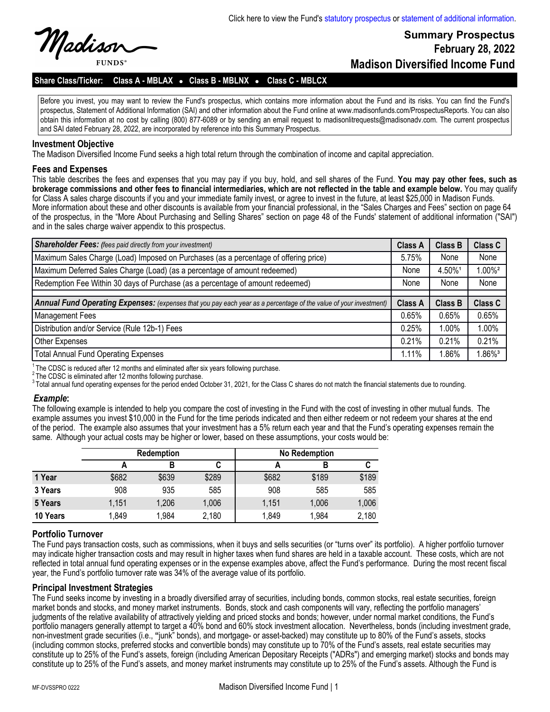Maolisor **FUNDS** 

# **Summary Prospectus February 28, 2022 Madison Diversified Income Fund**

## **Share Class/Ticker: Class A - MBLAX** l **Class B - MBLNX** l **Class C - MBLCX**

Before you invest, you may want to review the Fund's prospectus, which contains more information about the Fund and its risks. You can find the Fund's prospectus, Statement of Additional Information (SAI) and other information about the Fund online at www.madisonfunds.com/ProspectusReports. You can also obtain this information at no cost by calling (800) 877-6089 or by sending an email request to madisonlitrequests@madisonadv.com. The current prospectus and SAI dated February 28, 2022, are incorporated by reference into this Summary Prospectus.

#### **Investment Objective**

The Madison Diversified Income Fund seeks a high total return through the combination of income and capital appreciation.

#### **Fees and Expenses**

This table describes the fees and expenses that you may pay if you buy, hold, and sell shares of the Fund. **You may pay other fees, such as brokerage commissions and other fees to financial intermediaries, which are not reflected in the table and example below.** You may qualify for Class A sales charge discounts if you and your immediate family invest, or agree to invest in the future, at least \$25,000 in Madison Funds. More information about these and other discounts is available from your financial professional, in the "Sales Charges and Fees" section on page 64 of the prospectus, in the "More About Purchasing and Selling Shares" section on page 48 of the Funds' statement of additional information ("SAI") and in the sales charge waiver appendix to this prospectus.

| <b>Shareholder Fees:</b> (fees paid directly from your investment)                                                | <b>Class A</b> | <b>Class B</b> | Class C              |
|-------------------------------------------------------------------------------------------------------------------|----------------|----------------|----------------------|
| Maximum Sales Charge (Load) Imposed on Purchases (as a percentage of offering price)                              | 5.75%          | None           | None                 |
| Maximum Deferred Sales Charge (Load) (as a percentage of amount redeemed)                                         | None           | 4.50%1         | $.00\%$ <sup>2</sup> |
| Redemption Fee Within 30 days of Purchase (as a percentage of amount redeemed)                                    | None           | None           | None                 |
|                                                                                                                   |                |                |                      |
| Annual Fund Operating Expenses: (expenses that you pay each year as a percentage of the value of your investment) | <b>Class A</b> | <b>Class B</b> | <b>Class C</b>       |
| <b>Management Fees</b>                                                                                            | 0.65%          | 0.65%          | 0.65%                |
| Distribution and/or Service (Rule 12b-1) Fees                                                                     | 0.25%          | 1.00%          | 1.00%                |
| Other Expenses                                                                                                    | 0.21%          | 0.21%          | 0.21%                |
| <b>Total Annual Fund Operating Expenses</b>                                                                       | 1.11%          | .86%           | $.86\%$ <sup>3</sup> |

 $1$ The CDSC is reduced after 12 months and eliminated after six years following purchase.

 $2$  The CDSC is eliminated after 12 months following purchase.

 $3$ Total annual fund operating expenses for the period ended October 31, 2021, for the Class C shares do not match the financial statements due to rounding.

#### *Example***:**

The following example is intended to help you compare the cost of investing in the Fund with the cost of investing in other mutual funds. The example assumes you invest \$10,000 in the Fund for the time periods indicated and then either redeem or not redeem your shares at the end of the period. The example also assumes that your investment has a 5% return each year and that the Fund's operating expenses remain the same. Although your actual costs may be higher or lower, based on these assumptions, your costs would be:

|          | <b>Redemption</b> |       |       | <b>No Redemption</b> |       |       |  |
|----------|-------------------|-------|-------|----------------------|-------|-------|--|
|          |                   | в     | u     |                      |       |       |  |
| 1 Year   | \$682             | \$639 | \$289 | \$682                | \$189 | \$189 |  |
| 3 Years  | 908               | 935   | 585   | 908                  | 585   | 585   |  |
| 5 Years  | 1,151             | 1,206 | 1,006 | 1,151                | 1,006 | 1,006 |  |
| 10 Years | 1,849             | 1,984 | 2,180 | 1,849                | 1,984 | 2,180 |  |

### **Portfolio Turnover**

The Fund pays transaction costs, such as commissions, when it buys and sells securities (or "turns over" its portfolio). A higher portfolio turnover may indicate higher transaction costs and may result in higher taxes when fund shares are held in a taxable account. These costs, which are not reflected in total annual fund operating expenses or in the expense examples above, affect the Fund's performance. During the most recent fiscal year, the Fund's portfolio turnover rate was 34% of the average value of its portfolio.

### **Principal Investment Strategies**

The Fund seeks income by investing in a broadly diversified array of securities, including bonds, common stocks, real estate securities, foreign market bonds and stocks, and money market instruments. Bonds, stock and cash components will vary, reflecting the portfolio managers' judgments of the relative availability of attractively yielding and priced stocks and bonds; however, under normal market conditions, the Fund's portfolio managers generally attempt to target a 40% bond and 60% stock investment allocation. Nevertheless, bonds (including investment grade, non-investment grade securities (i.e., **"**junk" bonds), and mortgage- or asset-backed) may constitute up to 80% of the Fund's assets, stocks (including common stocks, preferred stocks and convertible bonds) may constitute up to 70% of the Fund's assets, real estate securities may constitute up to 25% of the Fund's assets, foreign (including American Depositary Receipts ("ADRs") and emerging market) stocks and bonds may constitute up to 25% of the Fund's assets, and money market instruments may constitute up to 25% of the Fund's assets. Although the Fund is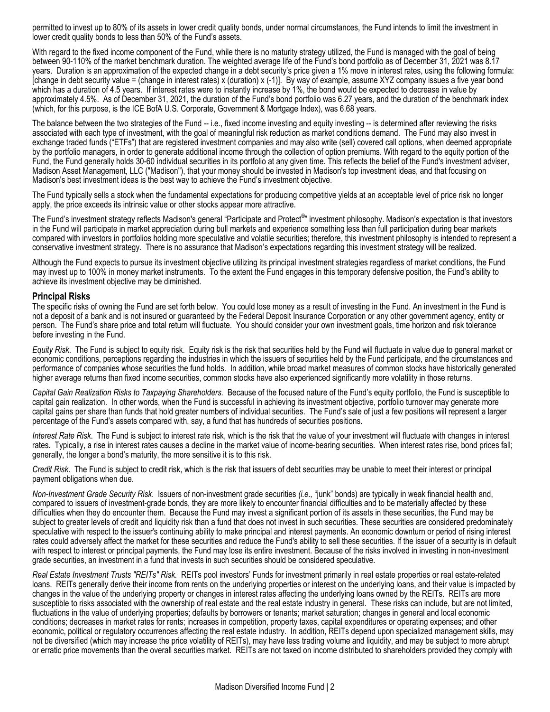permitted to invest up to 80% of its assets in lower credit quality bonds, under normal circumstances, the Fund intends to limit the investment in lower credit quality bonds to less than 50% of the Fund's assets.

With regard to the fixed income component of the Fund, while there is no maturity strategy utilized, the Fund is managed with the goal of being between 90-110% of the market benchmark duration. The weighted average life of the Fund's bond portfolio as of December 31, 2021 was 8.17 years. Duration is an approximation of the expected change in a debt security's price given a 1% move in interest rates, using the following formula: [change in debt security value = (change in interest rates) x (duration) x (-1)]. By way of example, assume XYZ company issues a five year bond which has a duration of 4.5 years. If interest rates were to instantly increase by 1%, the bond would be expected to decrease in value by approximately 4.5%. As of December 31, 2021, the duration of the Fund's bond portfolio was 6.27 years, and the duration of the benchmark index (which, for this purpose, is the ICE BofA U.S. Corporate, Government & Mortgage Index), was 6.68 years.

The balance between the two strategies of the Fund -- i.e., fixed income investing and equity investing -- is determined after reviewing the risks associated with each type of investment, with the goal of meaningful risk reduction as market conditions demand. The Fund may also invest in exchange traded funds ("ETFs") that are registered investment companies and may also write (sell) covered call options, when deemed appropriate by the portfolio managers, in order to generate additional income through the collection of option premiums. With regard to the equity portion of the Fund, the Fund generally holds 30-60 individual securities in its portfolio at any given time. This reflects the belief of the Fund's investment adviser, Madison Asset Management, LLC ("Madison"), that your money should be invested in Madison's top investment ideas, and that focusing on Madison's best investment ideas is the best way to achieve the Fund's investment objective.

The Fund typically sells a stock when the fundamental expectations for producing competitive yields at an acceptable level of price risk no longer apply, the price exceeds its intrinsic value or other stocks appear more attractive.

The Fund's investment strategy reflects Madison's general "Participate and Protect<sup>®</sup>" investment philosophy. Madison's expectation is that investors in the Fund will participate in market appreciation during bull markets and experience something less than full participation during bear markets compared with investors in portfolios holding more speculative and volatile securities; therefore, this investment philosophy is intended to represent a conservative investment strategy. There is no assurance that Madison's expectations regarding this investment strategy will be realized.

Although the Fund expects to pursue its investment objective utilizing its principal investment strategies regardless of market conditions, the Fund may invest up to 100% in money market instruments. To the extent the Fund engages in this temporary defensive position, the Fund's ability to achieve its investment objective may be diminished.

#### **Principal Risks**

The specific risks of owning the Fund are set forth below. You could lose money as a result of investing in the Fund. An investment in the Fund is not a deposit of a bank and is not insured or guaranteed by the Federal Deposit Insurance Corporation or any other government agency, entity or person. The Fund's share price and total return will fluctuate. You should consider your own investment goals, time horizon and risk tolerance before investing in the Fund.

*Equity Risk*. The Fund is subject to equity risk. Equity risk is the risk that securities held by the Fund will fluctuate in value due to general market or economic conditions, perceptions regarding the industries in which the issuers of securities held by the Fund participate, and the circumstances and performance of companies whose securities the fund holds. In addition, while broad market measures of common stocks have historically generated higher average returns than fixed income securities, common stocks have also experienced significantly more volatility in those returns.

*Capital Gain Realization Risks to Taxpaying Shareholders.* Because of the focused nature of the Fund's equity portfolio, the Fund is susceptible to capital gain realization. In other words, when the Fund is successful in achieving its investment objective, portfolio turnover may generate more capital gains per share than funds that hold greater numbers of individual securities. The Fund's sale of just a few positions will represent a larger percentage of the Fund's assets compared with, say, a fund that has hundreds of securities positions.

*Interest Rate Risk*. The Fund is subject to interest rate risk, which is the risk that the value of your investment will fluctuate with changes in interest rates. Typically, a rise in interest rates causes a decline in the market value of income-bearing securities. When interest rates rise, bond prices fall; generally, the longer a bond's maturity, the more sensitive it is to this risk.

*Credit Risk*. The Fund is subject to credit risk, which is the risk that issuers of debt securities may be unable to meet their interest or principal payment obligations when due.

*Non-Investment Grade Security Risk*. Issuers of non-investment grade securities *(i.e.,* "junk" bonds) are typically in weak financial health and, compared to issuers of investment-grade bonds, they are more likely to encounter financial difficulties and to be materially affected by these difficulties when they do encounter them. Because the Fund may invest a significant portion of its assets in these securities, the Fund may be subject to greater levels of credit and liquidity risk than a fund that does not invest in such securities. These securities are considered predominately speculative with respect to the issuer's continuing ability to make principal and interest payments. An economic downturn or period of rising interest rates could adversely affect the market for these securities and reduce the Fund's ability to sell these securities. If the issuer of a security is in default with respect to interest or principal payments, the Fund may lose its entire investment. Because of the risks involved in investing in non-investment grade securities, an investment in a fund that invests in such securities should be considered speculative.

*Real Estate Investment Trusts "REITs" Risk.* REITs pool investors' Funds for investment primarily in real estate properties or real estate-related loans. REITs generally derive their income from rents on the underlying properties or interest on the underlying loans, and their value is impacted by changes in the value of the underlying property or changes in interest rates affecting the underlying loans owned by the REITs. REITs are more susceptible to risks associated with the ownership of real estate and the real estate industry in general. These risks can include, but are not limited, fluctuations in the value of underlying properties; defaults by borrowers or tenants; market saturation; changes in general and local economic conditions; decreases in market rates for rents; increases in competition, property taxes, capital expenditures or operating expenses; and other economic, political or regulatory occurrences affecting the real estate industry. In addition, REITs depend upon specialized management skills, may not be diversified (which may increase the price volatility of REITs), may have less trading volume and liquidity, and may be subject to more abrupt or erratic price movements than the overall securities market. REITs are not taxed on income distributed to shareholders provided they comply with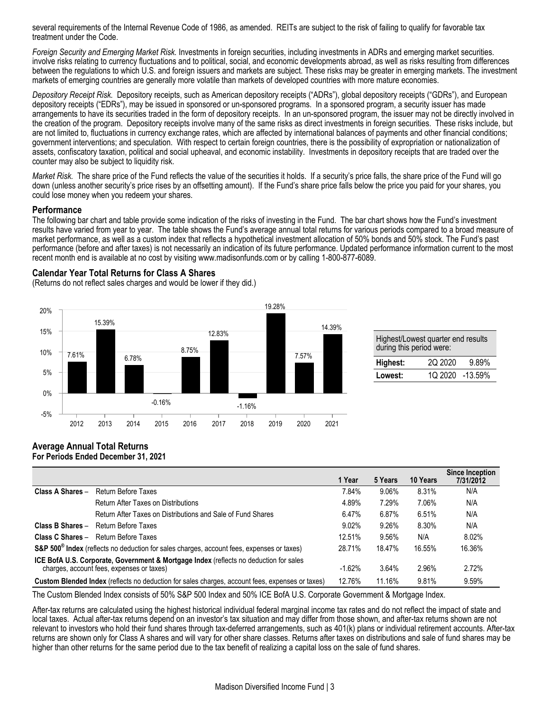several requirements of the Internal Revenue Code of 1986, as amended. REITs are subject to the risk of failing to qualify for favorable tax treatment under the Code.

*Foreign Security and Emerging Market Risk.* Investments in foreign securities, including investments in ADRs and emerging market securities. involve risks relating to currency fluctuations and to political, social, and economic developments abroad, as well as risks resulting from differences between the regulations to which U.S. and foreign issuers and markets are subject. These risks may be greater in emerging markets. The investment markets of emerging countries are generally more volatile than markets of developed countries with more mature economies.

*Depository Receipt Risk.* Depository receipts, such as American depository receipts ("ADRs"), global depository receipts ("GDRs"), and European depository receipts ("EDRs"), may be issued in sponsored or un-sponsored programs. In a sponsored program, a security issuer has made arrangements to have its securities traded in the form of depository receipts. In an un-sponsored program, the issuer may not be directly involved in the creation of the program. Depository receipts involve many of the same risks as direct investments in foreign securities. These risks include, but are not limited to, fluctuations in currency exchange rates, which are affected by international balances of payments and other financial conditions; government interventions; and speculation. With respect to certain foreign countries, there is the possibility of expropriation or nationalization of assets, confiscatory taxation, political and social upheaval, and economic instability. Investments in depository receipts that are traded over the counter may also be subject to liquidity risk.

*Market Risk.* The share price of the Fund reflects the value of the securities it holds. If a security's price falls, the share price of the Fund will go down (unless another security's price rises by an offsetting amount). If the Fund's share price falls below the price you paid for your shares, you could lose money when you redeem your shares.

### **Performance**

The following bar chart and table provide some indication of the risks of investing in the Fund. The bar chart shows how the Fund's investment results have varied from year to year. The table shows the Fund's average annual total returns for various periods compared to a broad measure of market performance, as well as a custom index that reflects a hypothetical investment allocation of 50% bonds and 50% stock. The Fund's past performance (before and after taxes) is not necessarily an indication of its future performance. Updated performance information current to the most recent month end is available at no cost by visiting www.madisonfunds.com or by calling 1-800-877-6089.

## **Calendar Year Total Returns for Class A Shares**

(Returns do not reflect sales charges and would be lower if they did.)



| Highest/Lowest quarter end results<br>during this period were: |                 |       |  |  |  |
|----------------------------------------------------------------|-----------------|-------|--|--|--|
| Highest:                                                       | 2Q 2020         | 9.89% |  |  |  |
| Lowest:                                                        | 1Q 2020 -13.59% |       |  |  |  |

#### **Average Annual Total Returns For Periods Ended December 31, 2021**

|                                                                                                                                    | 1 Year   | 5 Years | 10 Years | Since Inception<br>7/31/2012 |
|------------------------------------------------------------------------------------------------------------------------------------|----------|---------|----------|------------------------------|
| Return Before Taxes<br>Class A Shares -                                                                                            | 7.84%    | 9.06%   | 8.31%    | N/A                          |
| <b>Return After Taxes on Distributions</b>                                                                                         | 4.89%    | 7.29%   | 7.06%    | N/A                          |
| Return After Taxes on Distributions and Sale of Fund Shares                                                                        | 6.47%    | 6.87%   | 6.51%    | N/A                          |
| <b>Return Before Taxes</b><br>Class B Shares -                                                                                     | 9.02%    | 9.26%   | 8.30%    | N/A                          |
| Return Before Taxes<br>Class C Shares -                                                                                            | 12.51%   | 9.56%   | N/A      | 8.02%                        |
| S&P 500 <sup>®</sup> Index (reflects no deduction for sales charges, account fees, expenses or taxes)                              | 28.71%   | 18.47%  | 16.55%   | 16.36%                       |
| ICE BofA U.S. Corporate, Government & Mortgage Index (reflects no deduction for sales<br>charges, account fees, expenses or taxes) | $-1.62%$ | 3.64%   | 2.96%    | 2.72%                        |
| Custom Blended Index (reflects no deduction for sales charges, account fees, expenses or taxes)                                    | 12.76%   | 11.16%  | 9.81%    | 9.59%                        |

The Custom Blended Index consists of 50% S&P 500 Index and 50% ICE BofA U.S. Corporate Government & Mortgage Index.

After-tax returns are calculated using the highest historical individual federal marginal income tax rates and do not reflect the impact of state and local taxes. Actual after-tax returns depend on an investor's tax situation and may differ from those shown, and after-tax returns shown are not relevant to investors who hold their fund shares through tax-deferred arrangements, such as 401(k) plans or individual retirement accounts. After-tax returns are shown only for Class A shares and will vary for other share classes. Returns after taxes on distributions and sale of fund shares may be higher than other returns for the same period due to the tax benefit of realizing a capital loss on the sale of fund shares.